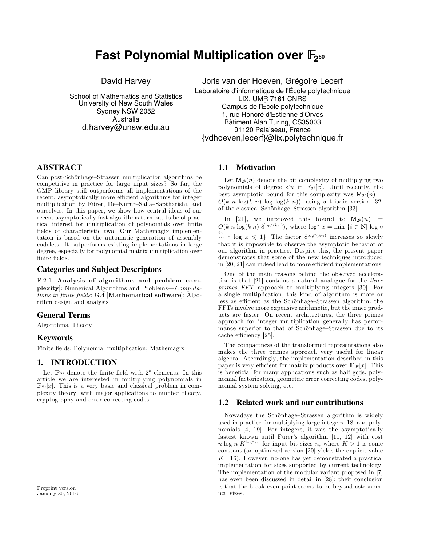# **Fast Polynomial Multiplication over <sup>2</sup> 60**

David Harvey

School of Mathematics and Statistics University of New South Wales Sydney NSW 2052 **Australia** d.harvey@unsw.edu.au

Joris van der Hoeven, Grégoire Lecerf Laboratoire d'informatique de l'École polytechnique LIX, UMR 7161 CNRS Campus de l'École polytechnique 1, rue Honoré d'Estienne d'Orves Bâtiment Alan Turing, CS35003 91120 Palaiseau, France {vdhoeven,lecerf}@lix.polytechnique.fr

# **ABSTRACT**

Can post-Schönhage-Strassen multiplication algorithms be competitive in practice for large input sizes? So far, the GMP library still outperforms all implementations of the recent, asymptotically more efficient algorithms for integer multiplication by Fürer, De-Kurur-Saha-Saptharishi, and<br>ourselves In this paper, we show how control ideas of our of the classical Schönhage-Strassen algorithm [33]. ourselves. In this paper, we show how central ideas of our recent asymptotically fast algorithms turn out to be of prac tical interest for multiplication of polynomials over finite fields of characteristic two. Our Mathemagix implemen tation is based on the automatic generation of assembly codelets. It outperforms existing implementations in large degree, especially for polynomial matrix multiplication over finite fields.

## **Categories and Subject Descriptors**

F.2.1 [**Analysis of algorithms and problem com plexity**]: Numerical Algorithms and Problems*Computations in nite elds*; G.4 [**Mathematical software**]: Algo rithm design and analysis

# **General Terms**

Algorithms, Theory

# **Keywords**

Finite fields; Polynomial multiplication; Mathemagix

# **1. INTRODUCTION**

Let  $\mathbb{F}_{2^k}$  denote the finite field with  $2^k$  elements. In this i article we are interested in multiplying polynomials in  $\mathbb{F}_{2^k}[x]$ . This is a very basic and classical problem in complexity theory, with major applications to number theory, cryptography and error correcting codes.

# **1.1 Motivation**

Let  $M_{2^k}(n)$  denote the bit complexity of multiplying two polynomials of degree  $\langle n \rangle$  in  $\mathbb{F}_{2^k}[x]$ . Until recently, the best asymptotic bound for this complexity was  $M_{2^k}(n) =$  $O(k \ n \log(k \ n) \log \log(k \ n))$ , using a triadic version [\[32\]](#page-7-0)

In [[21\]](#page-7-2), we improved this bound to  $M_{2^k}(n)$  =  $O(k n \log(k n) 8^{\log^*(kn)})$ , where  $\log^* x = \min \{i \in \mathbb{N} | \log \circ$  $\stackrel{i\times}{\cdots}$  o log  $x \leq 1$ . The factor  $8^{\log^*(kn)}$  increases so slowly that it is impossible to observe the asymptotic behavior of our algorithm in practice. Despite this, the present paper demonstrates that some of the new techniques introduced in  $[20, 21]$  $[20, 21]$  $[20, 21]$  can indeed lead to more efficient implementations.

One of the main reasons behind the observed accelera tion isthat [\[21\]](#page-7-2) contains a natural analogue for the *three primes FFT* approach to multiplying integers [\[30](#page-7-4)]. For a single multiplication, this kind of algorithm is more or less as efficient as the Schönhage-Strassen algorithm: the FFTs involve more expensive arithmetic, but the inner prod ucts are faster. On recent architectures, the three primes approach for integer multiplication generally has perfor mance superior to that of Schönhage-Strassen due to its cache efficiency [[25\]](#page-7-5).

The compactness of the transformed representations also makes the three primes approach very useful for linear algebra. Accordingly, the implementation described in this paper is very efficient for matrix products over  $\mathbb{F}_{2^k}[x]$ . This is beneficial for many applications such as half gcds, polynomial factorization, geometric error correcting codes, poly nomial system solving, etc.

# **1.2 Related work and our contributions**

Nowadays the Schönhage-Strassen algorithm is widely used in practice for multiplying large integers [\[18\]](#page-7-6) and poly nomials [\[4,](#page-7-7) [19\]](#page-7-8). For integers, it was the asymptotically fastest known until Fürer's algorithm [\[11,](#page-7-9) [12\]](#page-7-10) with cost *n* log *n*  $K^{\log^* n}$ , for input bit sizes *n*, where  $K > 1$  is some constant (an optimized version [\[20\]](#page-7-3) yields the explicit value  $K=16$ ). However, no-one has yet demonstrated a practical implementation for sizes supported by current technology. The implementation of the modular variant proposed in [\[7\]](#page-7-11) has even been discussed in detail in [\[28\]](#page-7-12): their conclusion is that the break-even point seems to be beyond astronomical sizes.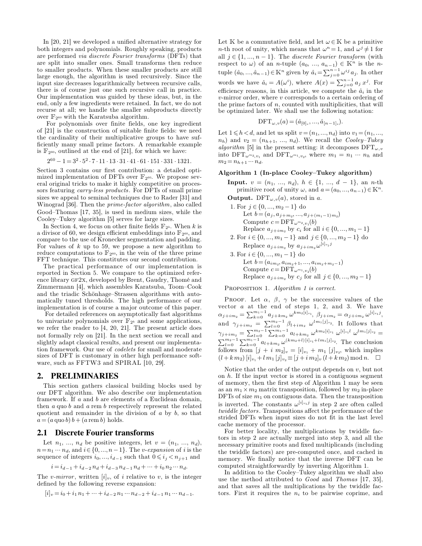both integers and polynomials. Roughly speaking, products are performed *via discrete Fourier transforms* (DFTs) that are split into smaller ones. Small transforms then reduce to smaller products. When these smaller products are still large enough, the algorithm is used recursively. Since the input size decreases logarithmically between recursive calls, there is of course just one such recursive call in practice. Our implementation was guided by these ideas, but, in the end, only a few ingredients were retained. In fact, we do not recurse at all; we handle the smaller subproducts directly over  $\mathbb{F}_{2^{60}}$  with the Karatsuba algorithm.

For polynomials over finite fields, one key ingredient of  $[21]$  is the construction of suitable finite fields: we need the cardinality of their multiplicative groups to have suf ficiently many small prime factors. A remarkable example is  $\mathbb{F}_{2^{60}}$ , outlined at the end of [\[21\]](#page-7-2), for which we have:

$$
2^{60} - 1 = 3^2 \cdot 5^2 \cdot 7 \cdot 11 \cdot 13 \cdot 31 \cdot 41 \cdot 61 \cdot 151 \cdot 331 \cdot 1321.
$$

Section [3](#page-2-0) contains our first contribution: a detailed optimized implementation of DFTs over  $\mathbb{F}_{2^{60}}$ . We propose sev-<br>eral original tricks to make it highly competitive on processors featuring *carry-less products*. For DFTs of small prime sizes we appeal to seminal techniques due to Rader [\[31\]](#page-7-13) and Winograd [\[36\]](#page-7-14). Then the *prime-factor algorithm*, also called Good-Thomas [\[17,](#page-7-15) [35\]](#page-7-16), is used in medium sizes, while the Cooley-Tukey algorithm [\[5\]](#page-7-17) serves for large sizes.<br>In Section 4, we focus on other finite fields  $\mathbb{F}_{2^k}$ . When k is

a divisor of 60, we design efficient embeddings into  $\mathbb{F}_{2^{60}}$ , and compare to the use of Kronecker segmentation and padding. For values of *k* up to 59, we propose a new algorithm to Replace  $a_{j+im_2}$  by  $a_{j+1}$  reduce computations to  $\mathbb{F}_{2^{60}}$ , in the vein of the three prime 3. For  $i \in \{0, ..., m_1 - 1\}$  do FFT technique. This constitutes our second contribution.

The practical performance of our implementation is reported in Section [5.](#page-6-0) We compare to the optimized refer ence library gf2x, developed by Brent, Gaudry, Thomé and Zimmermann [\[4\]](#page-7-7), which assembles Karatsuba, Toom-Cook and the triadic Schönhage-Strassen algorithms with automatically tuned thresholds. The high performance of our PROOF. Let  $\alpha$ ,  $\beta$ ,  $\gamma$  be the successive values of the implementation is of course a major outcome of this paper. vector a at the end of steps 1, 2, and 3. We h implementation is of course a major outcome of this paper.

For detailed references on asymptotically fast algorithms to univariate polynomials over  $\mathbb{F}_{2^k}$  and some applications, we refer the reader to [\[4,](#page-7-7) [20,](#page-7-3) [21\]](#page-7-2). The present article does not formally rely on [\[21\]](#page-7-2). In the next section we recall and slightly adapt classical results, and present our implementa tion framework. Our use of *codelets* for small and moderate sizes of DFT is customary in other high performance soft ware, such as FFTW3 and SPIRAL [\[10,](#page-7-18) [29\]](#page-7-19).

#### **2. PRELIMINARIES**

This section gathers classical building blocks used by our DFT algorithm. We also describe our implementation framework. If a and b are elements of a Euclidean domain, then *a* quo *b* and *a* rem *b* respectively represent the related quotient and remainder in the division of *a* by *b*, so that  $a = (a \text{ quo } b) b + (a \text{ rem } b) \text{ holds.}$ 

#### **2.1 Discrete Fourier transforms**

Let  $n_1, ..., n_d$  be positive integers, let  $v = (n_1, ..., n_d)$ ,  $n = n_1 \cdots n_d$ , and  $i \in \{0, ..., n-1\}$ . The *v*-*expansion* of *i* is the sequence of integers  $i_0, ..., i_{d-1}$  such that  $0 \leq i_j < n_{j+1}$  and

$$
i = i_{d-1} + i_{d-2} n_d + i_{d-3} n_{d-1} n_d + \dots + i_0 n_2 \dots n_d.
$$

The *v*-mirror, written  $[i]_v$ , of *i* relative to *v*, is the integer defined by the following reverse expansion:

$$
[i]_v = i_0 + i_1 n_1 + \dots + i_{d-2} n_1 \dots n_{d-2} + i_{d-1} n_1 \dots n_{d-1}.
$$

In [\[20,](#page-7-3) [21\]](#page-7-2) we developed a unified alternative strategy for Let K be a commutative field, and let  $\omega \in K$  be a primitive Let K be a commutative field, and let  $\omega \in \mathbb{K}$  be a primitive *n*-th root of unity, which means that  $\omega^n = 1$ , and  $\omega^j \neq 1$  for all  $j \in \{1, ..., n-1\}$ . The *discrete Fourier transform* (with respect to  $\omega$ ) of an *n*-tuple  $(a_0, ..., a_{n-1}) \in \mathbb{K}^n$  is the *n*tuple  $(\hat{a}_0, ..., \hat{a}_{n-1}) \in \mathbb{K}^n$  given by  $\hat{a}_i = \sum_{j=0}^{n-1} \omega^{ij} a_j$ . In other words we have  $\hat{a}_i = A(\omega^i)$ , where  $A(x) = \sum_{j=0}^{n-1} a_j x^j$ . For efficiency reasons, in this article, we compute the  $\hat{a}_i$  in the *v*-mirror order, where *v* corresponds to a certain ordering of the prime factors of *n*, counted with multiplicities, that will be optimized later. We shall use the following notation:

$$
\text{DFT}_{\omega,v}(a) = (\hat{a}_{[0]_v},...,\hat{a}_{[n-1]_v}).
$$

Let  $1 \leq h < d$ , and let us split  $v = (n_1, ..., n_d)$  into  $v_1 = (n_1, ..., n_d)$  $n_h$ ) and  $v_2 = (n_{h+1}, ..., n_d)$ . We recall the *Cooley-Tukey algorithm* [\[5\]](#page-7-17) in the present setting: it decomposes  $\text{DFT}_{\omega, v}$ into  $\text{DFT}_{\omega^{m_2}, v_1}$  and  $\text{DFT}_{\omega^{m_1}, v_2}$ , where  $m_1 = n_1 \cdots n_h$  and  $m_2 = n_{h+1} \cdots n_d$ .

#### **Algorithm 1 (In-place CooleyTukey algorithm)**

- **Input.**  $v = (n_1, ..., n_d), h \in \{1, ..., d 1\}, \text{ an } n\text{-th}$ primitive root of unity  $\omega$ , and  $a = (a_0, ..., a_{n-1}) \in \mathbb{K}^n$ . **Output.** DFT $_{\omega,\nu}(a)$ , stored in *a*.
- 1. For  $j \in \{0, ..., m_2 1\}$  do<br>Let  $b = (a_j, a_{j+m_2}, ..., a_{j+(m_1-1)m_2})$ Compute  $c = \text{DFT}_{\omega^{m_2}, v_1}(b)$ Replace  $a_{j+im_2}$  by  $c_i$  for all  $i \in \{0, ..., m_1 - 1\}$ 2. For  $i \in \{0, ..., m_1 - 1\}$  and  $j \in \{0, ..., m_2 - 1\}$  do Replace  $a_{j+im_2}$  by  $a_{j+im_2} \omega^{[i]_{v_1}j}$ 3. For  $i \in \{0, ..., m_1 - 1\}$  do<br>Let  $b = (a_{im_2}, a_{im_2+1}, ..., a_{im_2+m_2-1})$ Compute  $c = \text{DFT}_{\omega^{m_1}, v_2}(b)$ Replace  $a_{j+im_2}$  by  $c_j$  for all  $j \in \{0, ..., m_2 - 1\}$

Proposition 1. *Algorithm 1 is correct.*

PROOF. Let  $\alpha$ ,  $\beta$ ,  $\gamma$  be the successive values of the vector *a* at the end of steps 1, 2, and 3. We have  $\alpha_{j+im_2} = \sum_{k=0}^{m_1-1} a_{j+km_2} \omega^{km_2[i]_{v_1}}, \ \beta_{j+im_2} = \alpha_{j+im_2} \omega^{[i]_{v_1}j},$ and  $\gamma_{j+im_2} = \sum_{l=0}^{m_2-1} \beta_{l+im_2} \omega^{lm_1[j]_{v_2}}$ . It follows that  $\gamma_{j+im_2} = \sum_{l=0}^{m_2-1} \sum_{k=0}^{m_1-1} a_{l+km_2} \ \omega^{km_2[i]_{v_1}} \ \omega^{[i]_{v_1}l} \ \omega^{lm_1[j]_{v_2}} =$  $\sum_{l=0}^{m_2-1} \sum_{k=0}^{m_1-1} a_{l+km_2} \omega^{(km_2+l)[i]_{v_1}+lm_1[j]_{v_2}}$ . The conclusion follows from  $[j + i \, m_2]_v = [i]_{v_1} + m_1 \, [j]_{v_2}$ , which implies  $(l + k m_2) [i]_{v_1} + l m_1 [j]_{v_2} \equiv [j + i m_2]_v (l + k m_2) \mod n$ .

Notice that the order of the output depends on *v*, but not on *h*. If the input vector is stored in a contiguous segment of memory, then the first step of Algorithm 1 may be seen as an  $m_1 \times m_2$  matrix transposition, followed by  $m_2$  in-place  $DFTs$  of size  $m_1$  on contiguous data. Then the transposition is inverted. The constants  $\omega^{[i]_{v_1}j}$  in step 2 are often called *twiddle factors*. Transpositions affect the performance of the strided DFTs when input sizes do not fit in the last level cache memory of the processor.

For better locality, the multiplications by twiddle fac tors in step 2 are actually merged into step 3, and all the necessary primitive roots and fixed multiplicands (including the twiddle factors) are pre-computed once, and cached in memory. We finally notice that the inverse DFT can be computed straightforwardly by inverting Algorithm 1.

In addition to the Cooley-Tukey algorithm we shall also use the method attributed to *Good* and *Thomas* [\[17,](#page-7-15) [35\]](#page-7-16), and that saves all the multiplications by the twiddle fac tors. First it requires the  $n_i$  to be pairwise coprime, and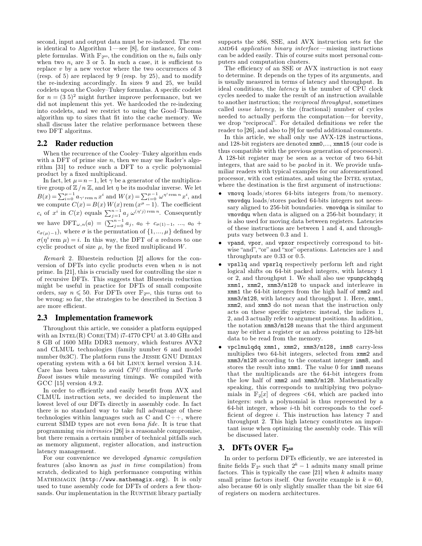second, input and output data must be re-indexed. The rest is identical to Algorithm  $1$ —see [\[8\]](#page-7-20), for instance, for complete formulas. With  $\mathbb{F}_{2^{60}}$ , the condition on the  $n_i$  fails only when two  $n_i$  are 3 or 5. In such a case, it is sufficient to replace *v* by a new vector where the two occurrences of 3 (resp. of 5) are replaced by 9 (resp. by 25), and to modify the re-indexing accordingly. In sizes 9 and 25, we build codelets upon the Cooley-Tukey formulas. A specific codelet for  $n = (3\ 5)^2$  might further improve performance, but we did not implement this yet. We hardcoded the re-indexing into codelets, and we restrict to using the Good-Thomas algorithm up to sizes that fit into the cache memory. We shall discuss later the relative performance between these two DFT algoritms.

#### **2.2 Rader reduction**

<span id="page-2-1"></span>When the recurrence of the Cooley-Tukey algorithm ends with a DFT of prime size  $n$ , then we may use Rader's algorithm [\[31\]](#page-7-13) to reduce such a DFT to a cyclic polynomial product by a fixed multiplicand.<br>In fact, let  $\mu = n - 1$ , let  $\gamma$  be a generator of the multiplica-

tive group of  $\mathbb{Z}/n \mathbb{Z}$ , and let  $\eta$  be its modular inverse. We let  $\mathbb{Z}/(n \mathbb{Z}/n \mathbb{Z})$  $B(x) = \sum_{i=0}^{\mu-1} a_{\gamma^i \text{ rem } n} x^i$  and  $W(x) = \sum_{i=0}^{\mu-1} \omega^{\eta^i \text{ rem } n} x^i$ , and we compute  $C(x) = B(x) W(x)$  rem  $(x^{\mu} - 1)$ . The coefficient *c<sub>i</sub>* of  $x^i$  in  $C(x)$  equals  $\sum_{j=1}^{n-1} a_j \omega^{(\eta^i j) \text{ rem } n}$ . Consequently we have  $DFT_{\omega,n}(a) = (\sum_{j=0}^{n-1} a_j, a_0 + c_{\sigma(1)-1}, ..., a_0 + \text{is a}^{\text{th}})$  $c_{\sigma(\mu)-1}$ , where  $\sigma$  is the permutation of  $\{1,...,\mu\}$  defined by  $\sigma(\eta^i \text{ rem } \mu) = i$ . In this way, the DFT of *a* reduces to one cyclic product of size  $\mu$ , by the fixed multiplicand  $W$ .

*Remark* 2*.* Bluestein reduction [\[2\]](#page-7-21) allows for the con version of DFTs into cyclic products even when *n* is not prime. In [\[21\]](#page-7-2), this is crucially used for controlling the size *n* of recursive DFTs. This suggests that Bluestein reduction might be useful in practice for DFTs of small composite orders, say  $n \le 50$ . For DFTs over  $\mathbb{F}_{2^{60}}$ , this turns out to be wrong: so far, the strategies to be described in Section [3](#page-2-0) are more efficient.

#### **2.3 Implementation framework**

Throughout this article, we consider a platform equipped with an  $INTER(R) CORE(TM)$  i7-4770 CPU at 3.40 GHz and 8 GB of 1600 MHz DDR3 memory, which features AVX2 and CLMUL technologies (family number 6 and model number  $0x3C$ . The platform runs the JESSIE GNU DEBIAN operating system with a 64 bit Linux kernel version 3.14. Care has been taken to avoid *CPU throttling* and *Turbo Boost* issues while measuring timings. We compiled with GCC [\[15\]](#page-7-22) version 4.9.2.

In order to efficiently and easily benefit from AVX and CLMUL instruction sets, we decided to implement the lowest level of our DFTs directly in assembly code. In fact there is no standard way to take full advantage of these technologies within languages such as C and  $C_{++}$ , where current SIMD types are not even *bona fide*. It is true that programming *via intrinsics* [\[26\]](#page-7-23) is a reasonable compromise, but there remain a certain number of technical pitfalls such as memory alignment, register allocation, and instruction latency management.

For our convenience we developed *dynamic compilation* features (also known as *just in time* compilation) from scratch, dedicated to high performance computing within Mathemagix (http://www.mathemagix.org). It is only used to tune assembly code for DFTs of orders a few thou sands. Our implementation in the RUNTIME library partially supports the x86, SSE, and AVX instruction sets for the amd64 *application binary interface*missing instructions can be added easily. This of course suits most personal com puters and computation clusters.

The efficiency of an SSE or AVX instruction is not easy to determine. It depends on the types of its arguments, and is usually measured in terms of latency and throughput. In ideal conditions, the *latency* is the number of CPU clock cycles needed to make the result of an instruction available to another instruction; the *reciprocal throughput*, sometimes called *issue latency*, is the (fractional) number of cycles needed to actually perform the computation—for brevity, we drop "reciprocal". For detailed definitions we refer the reader to [\[26\]](#page-7-23), and also to [\[9\]](#page-7-24) for useful additional comments.

In this article, we shall only use AVX-128 instructions, and 128-bit registers are denoted xmm0,..., xmm15 (our code is thus compatible with the previous generation of processors). A 128-bit register may be seen as a vector of two 64-bit integers, that are said to be *packed* in it. We provide unfa miliar readers with typical examples for our aforementioned processor, with cost estimates, and using the Intel syntax, where the destination is the first argument of instructions:

- vmovq loads/stores 64-bits integers from/to memory. vmovdqu loads/stores packed 64-bits integers not neces sary aligned to 256-bit boundaries. vmovdqa is similar to vmovdqu when data is aligned on a 256-bit boundary; it is also used for moving data between registers. Latencies of these instructions are between 1 and 4, and through puts vary between 0.3 and 1.
- vpand, vpor, and vpxor respectively correspond to bit-<br>wise "and", "or" and "xor" operations. Latencies are 1 and throughputs are 0.33 or 0.5.
- vpsllq and vpsrlq respectively perform left and right logical shifts on 64-bit packed integers, with latency 1 or 2, and throughput 1. We shall also use vpunpckhqdq xmm1, xmm2, xmm3/m128 to unpack and interleave in xmm1 the 64-bit integers from the high half of xmm2 and xmm3/m128, with latency and throughput 1. Here, xmm1, xmm2, and xmm3 do not mean that the instruction only acts on these specific registers: instead, the indices 1, 2, and 3 actually refer to argument positions. In addition, the notation xmm3/m128 means that the third argument may be either a register or an adress pointing to 128-bit data to be read from the memory.
- vpclmulqdq xmm1, xmm2, xmm3/m128, imm8 carry-less multiplies two 64-bit integers, selected from xmm2 and xmm3/m128 according to the constant integer imm8, and stores the result into xmm1. The value 0 for imm8 means that the multiplicands are the 64-bit integers from the low half of xmm2 and xmm3/m128. Mathematically speaking, this corresponds to multiplying two polyno mials in  $\mathbb{F}_2[x]$  of degrees  $\lt 64$ , which are packed into integers: such a polynomial is thus represented by a 64-bit integer, whose *i*-th bit corresponds to the coef ficient of degree *i*. This instruction has latency 7 and throughput 2. This high latency constitutes an impor tant issue when optimizing the assembly code. This will be discussed later.

# **3. DFTs OVER**  $\mathbb{F}_{2^{60}}$

<span id="page-2-0"></span>In order to perform DFTs efficiently, we are interested in finite fields  $\mathbb{F}_{2^k}$  such that  $2^k - 1$  admits many small prime factors. This is typically the case [\[21\]](#page-7-2) when *k* admits many small prime factors itself. Our favorite example is  $k = 60$ , also because 60 is only slightly smaller than the bit size 64 of registers on modern architectures.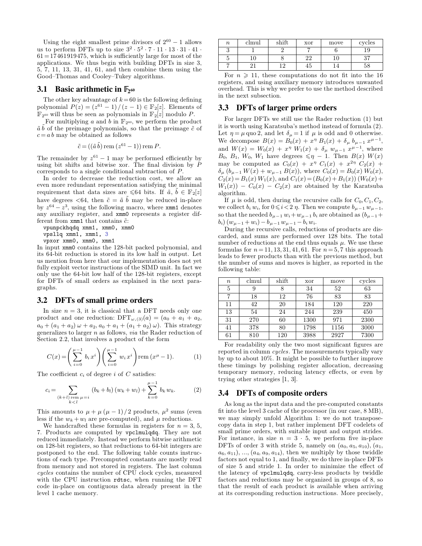Using the eight smallest prime divisors of  $2^{60} - 1$  allows Using the eight smallest prime divisors of  $2^{60} - 1$  allows<br>us to perform DFTs up to size  $3^2 \cdot 5^2 \cdot 7 \cdot 11 \cdot 13 \cdot 31 \cdot 41$ .  $61 = 17461919475$ , which is sufficiently large for most of the applications. We thus begin with building DFTs in size 3,5, 7, 11, 13, 31, 41, 61, and then combine them using the Good-Thomas and Cooley-Tukey algorithms.

# **3.1 Basic arithmetic in**  $\mathbb{F}_{2}$  60

The other key advantage of  $k=60$  is the following defining polynomial  $P(z) = (z^{61} - 1)/(z - 1) \in \mathbb{F}_2[z]$ . Elements of  $\mathbb{F}_{2^{60}}$  will thus be seen as polynomials in  $\mathbb{F}_{2}[z]$  modulo P.

For multiplying *a* and *b* in  $\mathbb{F}_{2^{60}}$ , we perform the product  $\tilde{a}~\tilde{b}$  of the preimage polynomials, so that the preimage  $\tilde{c}$  of  $c = a b$  may be obtained as follows

$$
\tilde{c} = ((\tilde{a}\,\tilde{b})\,\mathrm{rem}\,(z^{61}-1))\,\mathrm{rem}\,P.
$$

The remainder by  $z^{61} - 1$  may be performed efficiently by corresponds to a single conditional subtraction of *P*.

In order to decrease the reduction cost, we allow an even more redundant representation satisfying the minimal requirement that data sizes are  $\leq 64$  bits. If  $\tilde{a}$ ,  $b \in \mathbb{F}_2[z]$ have degrees  $\lt 64$ , then  $\tilde{c} = \tilde{a} \, \tilde{b}$  may be reduced in-place by  $z^{64} - z^3$ , using the following macro, where **xmm1** denotes any auxiliary register, and xmm0 represents a register different from **xmm1** that contains  $\tilde{c}$ :

```
vpunpckhqdq xmm1, xmm0, xmm0
vpsllq xmm1, xmm1, 3
vpxor xmm0, xmm0, xmm1
```
In input xmm0 contains the 128-bit packed polynomial, and its 64-bit reduction is stored in its low half in output. Let us mention from here that our implementation does not yet fully exploit vector instructions of the SIMD unit. In fact we only use the 64-bit low half of the 128-bit registers, except for DFTs of small orders as explained in the next para graphs.

#### **3.2 DFTs of small prime orders**

In size  $n = 3$ , it is classical that a DFT needs only one product and one reduction:  $DFT_{\omega,(3)}(a) = (a_0 + a_1 + a_2,$  $a_0 + (a_1 + a_2) \omega + a_2, a_0 + a_1 + (a_1 + a_2) \omega$ . This strategy generalizes to larger *n* as follows, *via* the Rader reduction of Section [2.2,](#page-2-1) that involves a product of the form

$$
C(x) = \left(\sum_{i=0}^{\mu-1} b_i x^i\right) \left(\sum_{i=0}^{\mu-1} w_i x^i\right) \text{rem } (x^{\mu} - 1). \tag{1}
$$

The coefficient  $c_i$  of degree *i* of  $C$  satisfies:

$$
c_i = \sum_{\substack{(k+l) \text{ rem } \mu = i}} (b_k + b_l) (w_k + w_l) + \sum_{k=0}^{\mu - 1} b_k w_k.
$$
 (2) 3.

This amounts to  $\mu + \mu (\mu - 1)/2$  products,  $\mu^2$  sums (even fit less if the  $w_k + w_l$  are pre-computed), and  $\mu$  reductions.

We handcrafted these formulas in registers for  $n = 3, 5$ , reduced immediately. Instead we perform bitwise arithmetic on 128-bit registers, so that reductions to 64-bit integers are postponed to the end. The following table counts instruc tions of each type. Precomputed constants are mostly read from memory and not stored in registers. The last column *cycles* contains the number of CPU clock cycles, measured with the CPU instruction rdtsc, when running the DFT code in-place on contiguous data already present in the level 1 cache memory.

| $\boldsymbol{n}$ | clmul | $_{\rm shift}$ | xor | move | cycles   |
|------------------|-------|----------------|-----|------|----------|
|                  |       |                |     |      | 19       |
|                  |       |                | ഹ   |      | $\Omega$ |
|                  |       |                | Æυ  |      |          |

For  $n \geq 11$ , these computations do not fit into the 16 registers, and using auxiliary memory introduces unwanted overhead. This is why we prefer to use the method described in the next subsection.

# <span id="page-3-2"></span>**3.3 DFTs of larger prime orders**

using bit shifts and bitwise xor. The final division by *P* may be computed as  $C_0(x) + x^{\eta} C_1(x) + x^{2\eta} C_2(x) +$ <br>corresponds to a single conditional subtraction of *P*.  $\delta_{\mu} (b_{\mu-1} W(x) + w_{\mu-1} B(x))$ , where  $C_0(x) = B_0(x) W_0(x$ For larger DFTs we still use the Rader reduction [\(1\)](#page-3-0) but it is worth using Karatsuba's method instead of formula [\(2\)](#page-3-1). Let  $\eta = \mu$  quo 2, and let  $\delta_{\mu} = 1$  if  $\mu$  is odd and 0 otherwise. We decompose  $B(x) = B_0(x) + x^{\eta} B_1(x) + \delta_{\mu} b_{\mu-1} x^{\mu-1}$ , , and  $W(x) = W_0(x) + x^{\eta} W_1(x) + \delta_{\mu} w_{\mu-1} x^{\mu-1}$ , where  $B_0$ ,  $B_1$ ,  $W_0$ ,  $W_1$  have degrees  $\leq \eta - 1$ . Then  $B(x)$   $W(x)$ <br>may be computed as  $C_0(x) + x^{\eta} C_1(x) + x^{2\eta} C_2(x) +$  $C_2(x) = B_1(x) W_1(x)$ , and  $C_1(x) = (B_0(x) + B_1(x)) (W_0(x) +$  $W_1(x)$  –  $C_0(x)$  –  $C_2(x)$  are obtained by the Karatsuba algorithm.

If  $\mu$  is odd, then during the recursive calls for  $C_0$ ,  $C_1$ ,  $C_2$ , we collect  $b_i w_i$ , for  $0 \le i < 2 \eta$ . Then we compute  $b_{\mu-1} w_{\mu-1}$ , so that the needed  $b_{\mu-1} w_i + w_{\mu-1} b_i$  are obtained as  $(b_{\mu-1} + b_i) (w_{\mu-1} +$ 

*buring the recursive calls, reductions of products are dis*carded, and sums are performed over 128 bits. The total number of reductions at the end thus equals  $\mu$ . We use these formulas for  $n = 11, 13, 31, 41, 61$ . For  $n = 5, 7$  this approach leads to fewer products than with the previous method, but the number of sums and moves is higher, as reported in the following table:

| $\boldsymbol{n}$ | clmul | shift | xor  | move | cycles |
|------------------|-------|-------|------|------|--------|
| 5                |       |       | 34   | 52   | 63     |
|                  | 18    | 12    | 76   | 83   | 83     |
| 11               | 42    | 20    | 184  | 120  | 220    |
| 13               | 54    | 24    | 244  | 239  | 450    |
| 31               | 270   | 60    | 1300 | 971  | 2300   |
| 41               | 378   | 80    | 1798 | 1156 | 3000   |
| 61               | 810   | 120   | 3988 | 2927 | 7300   |

<span id="page-3-0"></span>For readability only the two most significant figures are reported in column *cycles*. The measurements typically vary by up to about 10%. It might be possible to further improve these timings by polishing register allocation, decreasing temporary memory, reducing latency effects, or even by trying other strategies [\[1,](#page-7-25) [3\]](#page-7-26).

#### <span id="page-3-1"></span>**3.4 DFTs of composite orders**

7. Products are computed by vpclmulqdq. They are not small prime orders, with suitable input and output strides.<br>reduced immediately. Instead we perform bitwise arithmetic For instance, in size  $n = 3 \cdot 5$ , we perform five As long as the input data and the pre-computed constants fit into the level 3 cache of the processor (in our case,  $8 \text{ MB}$ ), we may simply unfold Algorithm 1: we do not transposecopy data in step 1, but rather implement DFT codelets of small prime orders, with suitable input and output strides. DFTs of order 3 with stride 5, namely on  $(a_0, a_5, a_{10})$ ,  $(a_1, a_2)$  $a_6, a_{11}$ ,  $\ldots$ ,  $(a_4, a_9, a_{14})$ , then we multiply by those twiddle factors not equal to 1, and finally, we do three in-place DFTs of size 5 and stride 1. In order to minimize the effect of the latency of vpclmulqdq, carry-less products by twiddle factors and reductions may be organized in groups of 8, so that the result of each product is available when arriving at its corresponding reduction instructions. More precisely,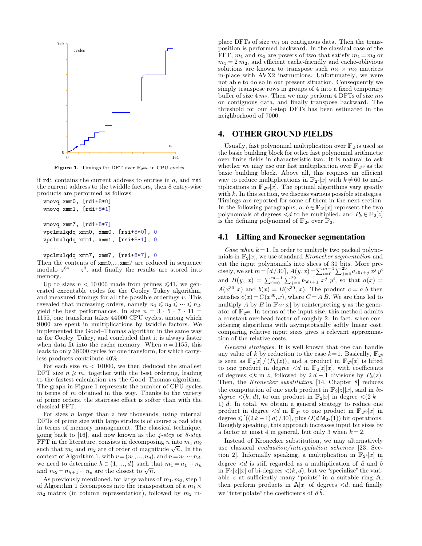

<span id="page-4-1"></span>**Figure 1.** Timings for DFT over  $\mathbb{F}_{2^{60}}$ , in CPU cycles.

if rdi contains the current address to entries in *a*, and rsi the current address to the twiddle factors, then 8 entry-wise products are performed as follows:

```
vmovq xmm0, [rdi+8*0]
vmovq xmm1, [rdi+8*1]
  ...
vmovq xmm7, [rdi+8*7]
vpclmulqdq xmm0, xmm0, [rsi+8*0], 0
vpclmulqdq xmm1, xmm1, [rsi+8*1], 0
  ...
```

```
vpclmulqdq xmm7, xmm7, [rsi+8*7], 0
```
Then the contents of xmm0,...,xmm7 are reduced in sequence modulo  $z^{64} - z^3$ , and finally the results are stored into cis memory.

Up to sizes  $n < 10000$  made from primes  $\leq 41$ , we generated executable codes for the Cooley-Tukey algorithm, and measured timings for all the possible orderings *v*. This revealed that increasing orders, namely  $n_1 \leq n_2 \leq \cdots \leq n_d$ , multiply A by B in  $\mathbb{F}_{2^{60}}[x]$  by reinterpreting y as the gener-<br>yield the best performances. In size  $n = 3 \cdot 5 \cdot 7 \cdot 11 =$  ator of  $\mathbb{F}_{2^{60}}$ . In ter 1155, one transform takes 44000 CPU cycles, among which 9000 are spent in multiplications by twiddle factors. We implemented the Good-Thomas algorithm in the same way as for CooleyTukey, and concluded that it is always faster when data fit into the cache memory. When  $n = 1155$ , this leads to only 38000 cycles for one transform, for which carryless products contribute 40%.

For each size  $m < 10000$ , we then deduced the smallest DFT size  $n \geq m$ , together with the best ordering, leading of degrees  $\lt k$  in z, followed by  $2d-1$  divisions by  $P_k(z)$ . to the fastest calculation *via* the Good-Thomas algorithm. The graph in Figure [1](#page-4-1) represents the number of CPU cycles<br>in terms of m obtained in this way. Then is to the variety<br>the computation of one such product in  $\mathbb{F}_2[z][x]$ , said in biin terms of *m* obtained in this way. Thanks to the variety of prime orders, the staircase effect is softer than with the classical FFT.

For sizes *n* larger than a few thousands, using internal DFTs of prime size with large strides is of course a bad idea<br>in terms of moment management. The election clusterious Roughly speaking, this approach increases input bit sizes by in terms of memory management. The classical technique, going back to [\[16\]](#page-7-27), and now known as the *4-step* or *6-step* FFT in the literature, consists in decomposing *n* into  $m_1 m_2$ such that  $m_1$  and  $m_2$  are of order of magnitude  $\sqrt{n}$ . In the and  $m_2 = n_{h+1} \cdots n_d$  are the closest to  $\sqrt{n}$ .

As previously mentioned, for large values of  $m_1, m_2$ , step 1 of Algorithm 1 decomposes into the transposition of a  $m_1 \times$  $m_2$  matrix (in column representation), followed by  $m_2$  inplace DFTs of size  $m_1$  on contiguous data. Then the trans-<br>position is performed backward. In the classical case of the FFT,  $m_1$  and  $m_2$  are powers of two that satisfy  $m_1 = m_2$  or  $m_1 = 2 m_2$ , and efficient cache-friendly and cache-oblivious solutions are known to transpose such  $m_2 \times m_2$  matrices in-place with AVX2 instructions. Unfortunately, we were not able to do so in our present situation. Consequently we simply transpose rows in groups of 4 into a fixed temporary buffer of size  $4 m_2$ . Then we may perform 4 DFTs of size  $m_2$  on contiguous data, and finally transpose backward. The threshold for our 4-step DFTs has been estimated in the neighborhood of 7000.

#### **4. OTHER GROUND FIELDS**

<span id="page-4-0"></span>Usually, fast polynomial multiplication over  $\mathbb{F}_2$  is used as the basic building block for other fast polynomial arithmetic over finite fields in characteristic two. It is natural to ask<br>whether we may use our fast multiplication over  $\mathbb{F}_{2^{60}}$  as the basic building block. Above all, this requires an efficient way to reduce multiplications in  $\mathbb{F}_{2^k}[x]$  with  $k \neq 60$  to multiplications in  $\mathbb{F}_{2^{60}}[x]$ . The optimal algorithms vary greatly with *k*. In this section, we discuss various possible strategies. Timings are reported for some of them in the next section.<br>In the following paragraphs,  $a, b \in \mathbb{F}_{2^k}[x]$  represent the two polynomials of degrees  $\langle d \rangle$  to be multiplied, and  $P_k \in \mathbb{F}_2[z]$ is the defining polynomial of  $\mathbb{F}_{2^k}$  over  $\mathbb{F}_2$ .

#### **4.1 Lifting and Kronecker segmentation**

<span id="page-4-2"></span>*Case when*  $k = 1$ . In order to multiply two packed polynomials in  $\mathbb{F}_2[x]$ , we use standard *Kronecker seqmentation* and cut the input polynomials into slices of 30 bits. More pre cisely, we set  $m = [d/30]$ ,  $A(y, x) = \sum_{i=0}^{m-1} \sum_{j=0}^{29} a_{30i+j} x^j y^i$ and  $B(y, x) = \sum_{i=0}^{m-1} \sum_{j=0}^{29} b_{30i+j} x^j y^i$ , so that  $a(x) =$  $A(x^{30}, x)$  and  $b(x) = B(x^{30}, x)$ . The product  $c = a b$  then satisfies  $c(x) = C(x^{30}, x)$ , where  $C = AB$ . We are thus led to multiply *A* by *B* in  $\mathbb{F}_{2^{60}}[x]$  by reinterpreting *y* as the genera constant overhead factor of roughly 2. In fact, when considering algorithms with asymptotically softly linear cost, comparing relative input sizes gives a relevant approxima tion of the relative costs.

*General strategies.* It is well known that one can handle any value of *k* by reduction to the case  $k=1$ . Basically,  $\mathbb{F}_{2^k}$ is seen as  $\mathbb{F}_2[z]/(P_k(z))$ , and a product in  $\mathbb{F}_{2^k}[x]$  is lifted to one product in degree  $\langle d \rangle$  in  $\mathbb{F}_2[z][x]$ , with coefficients Then, the *Kronecker substitution* [\[14,](#page-7-28) Chapter 8] reduces  $degree \leq (k, d)$ , to one product in  $\mathbb{F}_2[x]$  in degree  $\leq (2 \; k - 1)$ 1) *d*. In total, we obtain a general strategy to reduce one product in degree  $\langle d \rangle$  in  $\mathbb{F}_{2^k}$  to one product in  $\mathbb{F}_{2^{60}}[x]$  in degree  $\leqslant$   $\lceil((2 k-1) d)/30\rceil$ , plus  $O(d M_{2^k}(1))$  bit operations. a factor at most 4 in general, but only 3 when  $k = 2$ .

context of Algorithm 1, with  $v = (n_1, ..., n_d)$ , and  $n = n_1 \cdots n_d$ ,<br>we need to determine  $h \in \{1, ..., d\}$  such that  $m_1 = n_1 \cdots n_h$  degree  $\langle d \rangle$  is still regarded as a multiplication of  $\tilde{a}$  and  $\tilde{b}$ <br>and  $m_2 = n_{h+1} \cdots n_d$ Instead of Kronecker substitution, we may alternatively use classical *evaluation/interpolation schemes* [\[23,](#page-7-29) Sec tion 2]. Informally speaking, a multiplication in  $\mathbb{F}_{2^k}[x]$  in degree  $\lt d$  is still regarded as a multiplication of  $\tilde{a}$  and  $\tilde{b}$ in  $\mathbb{F}_2[z][x]$  of bi-degrees  $\lt(k, d)$ , but we "specialize" the varithen perform products in  $A[x]$  of degrees  $\langle d, \rangle$  and finally we "interpolate" the coefficients of  $\tilde{a}\tilde{b}$ .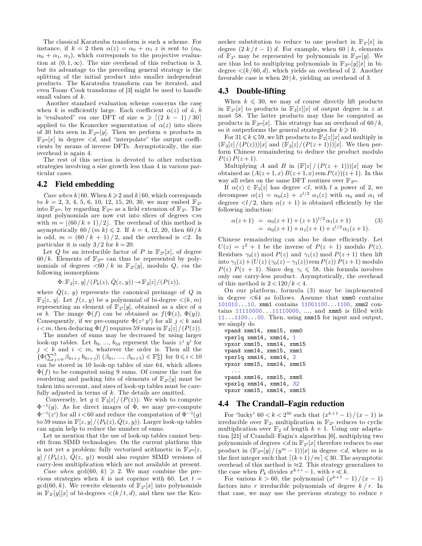instance, if  $k = 2$  then  $\alpha(z) = \alpha_0 + \alpha_1 z$  is sent to  $(\alpha_0,$  $\alpha_0 + \alpha_1$ ,  $\alpha_1$ ), which corresponds to the projective evaluation at  $(0, 1, \infty)$ . The size overhead of this reduction is 3, tion at  $(0,1,\infty)$ . The size overhead of this reduction is 3, are thus led to multiplying polynomials in  $\mathbb{F}_{2^{60}}[y][x]$  in bi-<br>but its advantage to the preceding general strategy is the degree  $\langle k/60, d \rangle$ , which yiel splitting of the initial product into smaller independent products. The Karatsuba transform canbe iterated, and even Toom-Cook transforms of [\[3\]](#page-7-26) might be used to handle small values of *k*.

Another standard evaluation scheme concerns the case when *k* is sufficiently large. Each coefficient  $\alpha(z)$  of  $\tilde{a}$ , *b* is "evaluated" *via* one DFT of size  $n \geq \lfloor (2k - 1)/30 \rfloor$  applied to the Kronecker segmentation of  $\alpha(z)$  into slices of 30 bits seen in  $\mathbb{F}_{2^{60}}[y]$ . Then we perform *n* products in  $\mathbb{F}_{2^{60}}[x]$  in degree  $\lt d$ , and "interpolate" the output coefficients by means of inverse DFTs. Asymptotically, the size overhead is again 4.

The rest of this section is devoted to other reduction strategies involving a size growth less than 4 in various par ticular cases.

#### **4.2 Field embedding**

<span id="page-5-2"></span>*Case when*  $k \mid 60$ . When  $k \geq 2$  and  $k \mid 60$ , which corresponds to  $k = 2, 3, 4, 5, 6, 10, 12, 15, 20, 30$ , we may embed  $\mathbb{F}_{2^k}$ into  $\mathbb{F}_{2^{60}}$ , by regarding  $\mathbb{F}_{2^{60}}$  as a field extension of  $\mathbb{F}_{2^k}$ . The input polynomials are now cut into slices of degrees  $\leq m$ <br>with  $m = \lfloor (60/k + 1)/2 \rfloor$ . The currhead of this method is with  $m = \lfloor (60/k + 1)/2 \rfloor$ . The overhead of this method is asymptotically  $60/(m k) \le 2$ . If  $k = 4, 12, 20$ , then  $60/k$ is odd,  $m = (60 / k + 1) / 2$ , and the overhead is <2. In particular it is only  $3/2$  for  $k = 20$ .

Let *Q* be an irreducible factor of *P* in  $\mathbb{F}_{2^k}[x]$ , of degree  $60/k$ . Elements of  $\mathbb{F}_{2^{60}}$  can thus be represented by polyfollowing isomorphism

$$
\Phi: \mathbb{F}_2[z, y]/(P_k(z), \check{Q}(z, y)) \to \mathbb{F}_2[z]/(P(z)),
$$

where  $\dot{Q}(z, y)$  represents the canonical preimage of  $Q$  in  $\mathbb{F}_2[z, y]$ . Let  $f(z, y)$  be a polynomial of bi-degree  $\lt(k, m)$ representing an element of  $\mathbb{F}_{2^k}[y]$ , obtained as a slice of *a* or *b*. The image  $\Phi(f)$  can be obtained as  $f(\Phi(z), \Phi(y))$ . Consequently, if we pre-compute  $\Phi(z^j y^i)$  for all  $j < k$  and  $\frac{1}{w\rho}$  $i < m$ , then deducing  $\Phi(f)$  requires 59 sums in  $\mathbb{F}_2[z]/(P(z))$ .

The number of sums may be decreased by using larger look-up tables. Let  $b_0$ , ...,  $b_{59}$  represent the basis  $z^j$   $y^i$  for  $j \leq k$  and  $i \leq m$ , whatever the order is. Then all the  $\{\Phi(\sum_{j=0}^{5} \beta_{6i+j} b_{6i+j}) | (\beta_{6i}, ..., \beta_{6i+5}) \in \mathbb{F}_2^6\}$  for  $0 \le i < 10$  vp can be stored in 10 look-up tables of size 64, which allows  $\Phi(f)$  to be computed using 9 sums. Of course the cost for reordering and packing bits of elements of  $\mathbb{F}_{2^k}[y]$  must be taken into account, and sizes of look-up tables must be carefully adjusted in terms of *k*. The details are omitted.<br>Conversely, let  $g \in \mathbb{F}_2[z]/(P(z))$ . We wish to compute

Conversely, let  $g \in \mathbb{F}_2[z] / (P(z))$ . We wish to compute  $\Phi^{-1}(g)$ . As for direct images of  $\Phi$ , we may pre-compute  $\Phi^{-1}(z^i)$  for all  $i < 60$  and reduce the computation of  $\Phi^{-1}(g)$ to 59 sums in  $\mathbb{F}[z, y]/(P_k(z), Q(z, y))$ . Larger look-up tables can again help to reduce the number of sums.

Let us mention that the use of look-up tables cannot benefit from SIMD technologies. On the current platform this is not yet a problem: fully vectorized arithmetic in  $\mathbb{F}_{2^{60}}[z,$  $y \mid (P_k(z), \check{Q}(z, y))$  would also require SIMD versions of carry-less multiplication which are not available at present.

*Case when*  $gcd(60, k) \geq 2$ . We may combine the previous strategies when *k* is not coprime with 60. Let  $t =$  $gcd(60, k)$ . We rewrite elements of  $\mathbb{F}_{2^k}[x]$  into polynomials in  $\mathbb{F}_{2^t}[y][x]$  of bi-degrees  $\langle (k/t, d) \rangle$ , and then use the Kro-

The classical Karatsuba transform is such a scheme. For necker substitution to reduce to one product in  $\mathbb{F}_{2^t}[x]$  in stance, if  $k = 2$  then  $\alpha(z) = \alpha_0 + \alpha_1 z$  is sent to  $(\alpha_0, \alpha_1)$  degree  $(2k/t - 1) d$ . For example, w necker substitution to reduce to one product in  $\mathbb{F}_{2^t}[x]$  in of  $\mathbb{F}_{2^k}$  may be represented by polynomials in  $\mathbb{F}_{2^{60}}[y]$ . We degree  $\langle (k/60,d)$ , which yields an overhead of 2. Another favorable case is when  $20 \mid k$ , yielding an overhead of 3.

#### **4.3 Double-lifting**

<span id="page-5-1"></span>When  $k \leq 30$ , we may of course directly lift products in  $\mathbb{F}_{2^k}[x]$  to products in  $\mathbb{F}_2[z][x]$  of output degree in z at most 58. The latter products may thus be computed as products in  $\mathbb{F}_{2^{60}}[x]$ . This strategy has an overhead of 60/*k*, so it outperforms the general strategies for  $k \geq 16$ .

For  $31 \leq k \leq 59$ , we lift products to  $\mathbb{F}_2[z][x]$  and multiply in  $(\mathbb{F}_{2}[z]/(P(z)))[x]$  and  $(\mathbb{F}_{2}[z]/(P(z+1)))[x]$ . We then perform Chinese remaindering to deduce the product modulo  $P(z) P(z+1)$ .

Multiplying *A* and *B* in  $(\mathbb{F}[z]/(P(z+1)))[x]$  may be obtained as  $(A(z+1,x) B(z+1,x)$ rem  $P(z)$  $(z+1)$ . In this way all relies on the same DFT routines over  $\mathbb{F}_{2^{60}}$ .<br>If  $\alpha(z) \in \mathbb{F}_2[z]$  has degree <*l*, with *l* a power of 2, we

If  $\alpha(z) \in \mathbb{F}_2[z]$  has degree  $\langle l, \text{ with } l \text{ a power of } 2, \text{ we  
decompose } \alpha(z) = \alpha_0(z) + z^{l/2} \alpha_1(z) \text{ with } \alpha_0 \text{ and } \alpha_1 \text{ of }$ degrees  $\langle l/2 \rangle$ , then  $\alpha(z+1)$  is obtained efficiently by the following induction:

<span id="page-5-0"></span>
$$
\alpha(z+1) = \alpha_0(z+1) + (z+1)^{l/2} \alpha_1(z+1)
$$
\n
$$
= \alpha_0(z+1) + \alpha_1(z+1) + z^{l/2} \alpha_1(z+1).
$$
\n(3)

nomials of degrees *<*60 / *k* in F2*<sup>k</sup>*[*y*], modulo *Q*,*via* the Chinese remaindering can also be done efficiently. Let  $U(z) = z^2 + 1$  be the inverse of  $P(z + 1)$  modulo  $P(z)$ . Residues  $\gamma_0(z) \mod P(z)$  and  $\gamma_1(z) \mod P(z+1)$  then lift  $P(z)$   $P(z + 1)$ . Since deg  $\gamma_i \le 58$ , this formula involves only one carry-less product. Asymptotically, the overhead of this method is  $2 < 120/k < 4$ .

On our platform, formula [\(3\)](#page-5-0) may be implemented in degree *<*64 as follows. Assume that xmm0 contains 101010...10, xmm1 contains 11001100...1100, xmm2 con tains 11110000...11110000, *:::*, and xmm5 is filled with 11...1100...00. Then, using xmm15 for input and output, we simply do

```
vpand xmm14, xmm15, xmm0
vpsrlq xmm14, xmm14, 1
vpxor xmm15, xmm14, xmm15
vpand xmm14, xmm15, xmm1
vpsrlq xmm14, xmm14, 2
vpxor xmm15, xmm14, xmm15
  ...
vpand xmm14, xmm15, xmm5
vpsrlq xmm14, xmm14, 32
vpxor xmm15, xmm14, xmm15
```
#### **4.4 The Crandall–Fagin reduction**

For "lucky"  $60 < k < 2^{30}$  such that  $\left(\frac{x^{k+1}-1}{n}\right)/(x-1)$  is irreducible over  $\mathbb{F}_2$ , multiplication in  $\mathbb{F}_{2^k}$  reduces to cyclic multiplication over  $\mathbb{F}_2$  of length  $k + 1$ . Using our adaptation  $[21]$  of Crandall–Fagin's algorithm  $[6]$ , multiplying two polynomials of degrees  $\langle d \text{ in } \mathbb{F}_{2^k}[x]$  therefore reduces to one product in  $(\mathbb{F}_{2^{60}}[y]/(y^m-1))[x]$  in degree  $\lt d$ , where *m* is the first integer such that  $[(k+1)/m] \leq 30$ . The asymptotic overhead of this method is  $\approx$ 2. This strategy generalizes to the case when  $P_k$  divides  $x^{k+r} - 1$ , with  $r \ll k$ .

*k* case when  $P_k$  divides  $x^{k+r} - 1$ , with  $r \ll k$ .<br>For various  $k > 60$ , the polynomial  $(x^{k+1} - 1) / (x - 1)$ factors into  $r$  irreducible polynomials of degree  $k / r$ . In that case, we may use the previous strategy to reduce *r*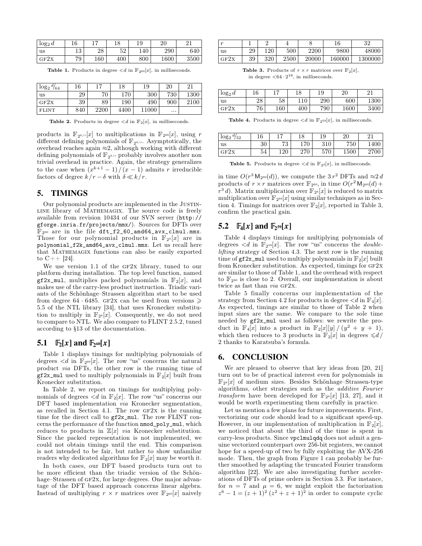| $\log_2 d$ | 16        | $\overline{1}$ | 10<br>10 | 19  | ാവ<br>∠∪ |      |  |
|------------|-----------|----------------|----------|-----|----------|------|--|
| us         | 1 ລ<br>⊥∪ | 28             | ۵ŋ<br>υZ | 140 | 290      | 640  |  |
| GF2X       | 79        | 160            | 400      | 800 | 1600     | 3500 |  |

<span id="page-6-1"></span>**Table 1.** Products in degree  $\langle d \text{ in } \mathbb{F}_{2^{60}}[x]$ , in milliseconds.

| $\log_2 \frac{d}{64}$ | 16  | $-$  | 18   | 19    | 20       | 21   |
|-----------------------|-----|------|------|-------|----------|------|
| <b>us</b>             | 29  | 70   | 170  | 300   | 730      | 1300 |
| GF2X                  | 39  | 89   | 190  | 490   | 900      | 2100 |
| <b>FLINT</b>          | 840 | 2200 | 4400 | 11000 | $\cdots$ |      |

<span id="page-6-2"></span>**Table 2.** Products in degree  $\langle d \text{ in } \mathbb{F}_2[x]$ , in milliseconds.

products in  $\mathbb{F}_{2^{k/r}}[x]$  to multiplications in  $\mathbb{F}_{2^{60}}[x]$ , using  $r = \sqrt{1}$ different defining polynomials of  $\mathbb{F}_{2^{k/r}}$ . Asymptotically, the overhead reaches again  $\approx$ 2, although working with different defining polynomials of  $\mathbb{F}_{2^{k/r}}$  probably involves another non trivial overhead in practice. Again, the strategy generalizes to the case when  $(x^{k+1} - 1)/(x - 1)$  admits *r* irreducible factors of degree  $k/r - \delta$  with  $\delta \ll k/r$ .

# **5. TIMINGS**

<span id="page-6-0"></span>Our polynomial products are implemented in the JUSTIN-LINE library of MATHEMAGIX. The source code is freely confirm the practical gain. available from revision 10434 of our SVN server (http:// gforge.inria.fr/projects/mmx/). Sources for DFTs over  $\mathbb{F}_{2^{60}}$  are in the file  $\text{dft}_12_60 \text{ and } \text{64}\text{,}$   $\text{and } \text{54}\text{,}$ Those for our polynomial products in  $\mathbb{F}_{2^k}[x]$  are in polynomial\_f2k\_amd64\_avx\_clmul.mmx. Let us recall here that Mathemagix functions can also be easily exported to  $C++$  [\[24\]](#page-7-31).

We use version 1.1 of the GF2x library, tuned to our platform during installation. The top level function, named  $gf2x$ \_mul, multiplies packed polynomials in  $\mathbb{F}_2[x]$ , and makes use of the carry-less product instruction. Triadic variants of the Schönhage–Strassen algorithm start to be used from degree 64  $\cdot$  6485. GF2x can be used from versions  $\geq$ 5.5 of the NTL library [\[34\]](#page-7-32), that uses Kronecker substitu tion to multiply in  $\mathbb{F}_{2^k}[x]$ . Consequently, we do not need to compare to NTL. We also compare to FLINT 2.5.2, tuned according to  $§13$  of the documentation.

# **5.1 E**<sub>2</sub>(*x***] and E**<sub>2</sub><sup>(*x*</sup>**]**

Table [1](#page-6-1) displays timings for multiplying polynomials of degrees  $\langle d \rangle$  in  $\mathbb{F}_{2^{60}}[x]$ . The row "us" concerns the natural product *via* DFTs, the other row is the running time of  $gf2x$ \_mul used to multiply polynomials in  $\mathbb{F}_2[x]$  built from Kronecker substitution.

In Table [2,](#page-6-2) we report on timings for multiplying poly nomials of degrees  $\langle d \text{ in } \mathbb{F}_2[x]$ . The row "us" concerns our DFT based implementation *via* Kronecker segmentation, as recalled in Section [4.1.](#page-4-2) The row  $GF2x$  is the running time for the direct call to gf2x\_mul. The row FLINT con cerns the performance of the function nmod\_poly\_mul, which reduces to products in  $\mathbb{Z}[x]$  *via* Kronecker substitution. Since the packed representation is not implemented, we could not obtain timings until the end. This comparison is not intended to be fair, but rather to show unfamiliar readers why dedicated algorithms for  $\mathbb{F}_2[x]$  may be worth it.

In both cases, our DFT based products turn out to be more efficient than the triadic version of the Schön hage-Strassen of GF2x, for large degrees. One major advantage of the DFT based approach concerns linear algebra. Instead of multiplying  $r \times r$  matrices over  $\mathbb{F}_{2^{60}}[x]$  naively  $z^6$ 

| $\sim$ |    | -   | ÷    |       | 16     | 29<br>υZ |
|--------|----|-----|------|-------|--------|----------|
| us     | 29 | 120 | 500  | 2200  | 9800   | 48000    |
| GF2X   | 39 | 320 | 2500 | 20000 | 160000 | 1300000  |

<span id="page-6-3"></span>**Table 3.** Products of  $r \times r$  matrices over  $\mathbb{F}_2[x]$ , in degree  $\langle 64 \cdot 2^{16} \rangle$ , in milliseconds.

| $\log_2 d$ | 16 |     | 18  |     | 20   | $^{\circ}$ 1 |
|------------|----|-----|-----|-----|------|--------------|
| us         | 28 | 58  | 10  | 290 | 600  | 1300         |
| GF2X       | 76 | 160 | 400 | 790 | 1600 | 3400         |

<span id="page-6-4"></span>**Table 4.** Products in degree  $\langle d \text{ in } \mathbb{F}_{2^{59}}[x]$ , in milliseconds.

| $\log_2$ <sup><math>d/32</math></sup> | 16 | 17       | 18  | 10  | 20   |      |
|---------------------------------------|----|----------|-----|-----|------|------|
| <b>us</b>                             | 30 | 79<br>റം | 170 | 310 | 750  | 1400 |
| GF2X                                  | 54 | 120      | 270 | 570 | 1500 | 2700 |

<span id="page-6-5"></span>**Table 5.** Products in degree  $\langle d \text{ in } \mathbb{F}_{2^2}[x]$ , in milliseconds.

in time  $O(r^3 M_{2^{60}}(d))$ , we compute the  $3 r^2$  DFTs and  $\approx 2 d$ products of  $r \times r$  matrices over  $\mathbb{F}_{2^{60}}$ , in time  $O(r^2 \mathsf{M}_{2^{60}}(d) +$  $r^3 d$ ). Matrix multiplication over  $\mathbb{F}_{2^k}[x]$  is reduced to matrix multiplication over  $\mathbb{F}_{2^{60}}[x]$  using similar techniques as in Sec-tion [4.](#page-4-0) Timings for matrices over  $\mathbb{F}_2[x]$ , reported in Table [3,](#page-6-3)

# **5.2**  $\mathbb{F}_4[x]$  **and**  $\mathbb{F}_2$  **s**  $[x]$

Table [4](#page-6-4) displays timings for multiplying polynomials of degrees  $\langle d \nvert$  in  $\mathbb{F}_{2^{59}}[x]$ . The row "us" concerns the *doublelifting* strategy of Section [4.3.](#page-5-1) The next row is the running time of  $gf2x$ \_mul used to multiply polynomials in  $\mathbb{F}_2[x]$  built from Kronecker substitution. As expected, timings for  $GF2x$ are similar to those of Table [1,](#page-6-1) and the overhead with respect to  $\mathbb{F}_{2^{60}}$  is close to 2. Overall, our implementation is about twice as fast than *via* GF2x.

Table [5](#page-6-5) finally concerns our implementation of the strategy from Section [4.2](#page-5-2) for products in degree  $\langle d \text{ in } \mathbb{F}_4[x]$ . As expected, timings are similar to those of Table [2](#page-6-2) when input sizes are the same. We compare to the sole time needed by gf2x\_mul used as follows: we rewrite the pro duct in  $\mathbb{F}_4[x]$  into a product in  $\mathbb{F}_2[x][y]/(y^2 + y + 1),$ which then reduces to 3 products in  $\mathbb{F}_2[x]$  in degrees  $\leq d$ / 2 thanks to Karatsuba's formula.

# **6. CONCLUSION**

We are pleased to observe that key ideas from [\[20,](#page-7-3) [21\]](#page-7-2) turn out to be of practical interest even for polynomials in  $\mathbb{F}_{2^k}[x]$  of medium sizes. Besides Schönhage-Strassen-type algorithms, other strategies such as the *additive Fourier transform* have been developed for  $\mathbb{F}_{2^k}[x]$  [\[13,](#page-7-33) [27\]](#page-7-34), and it would be worth experimenting them carefully in practice.

Let us mention a few plans for future improvements. First, vectorizing our code should lead to a significant speed-up. However, in our implementation of multiplication in  $\mathbb{F}_2[x]$ , we noticed that about the third of the time is spent in carry-less products. Since vpclmulqdq does not admit a gen uine vectorized counterpart over 256-bit registers, we cannot hope for a speed-up of two by fully exploiting the AVX-256 mode. Then, the graph from Figure [1](#page-4-1) can probably be fur ther smoothed by adapting the truncated Fourier transform algorithm [\[22\]](#page-7-35). We are also investigating further acceler ations of DFTs of prime orders in Section [3.3.](#page-3-2) For instance, for  $n = 7$  and  $\mu = 6$ , we might exploit the factorization  $z^6 - 1 = (z + 1)^2 (z^2 + z + 1)^2$  in order to compute cyclic